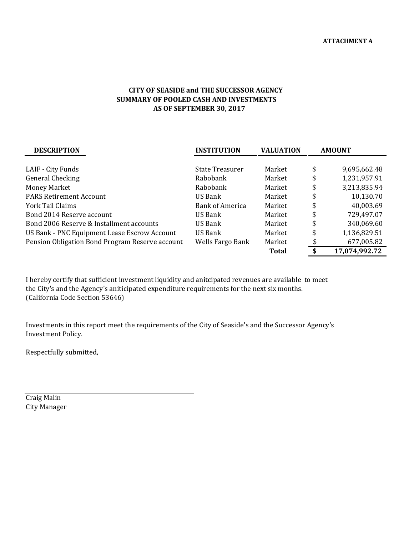## **AS OF SEPTEMBER 30, 2017 CITY OF SEASIDE and THE SUCCESSOR AGENCY SUMMARY OF POOLED CASH AND INVESTMENTS**

| <b>DESCRIPTION</b>                              | <b>INSTITUTION</b> | <b>VALUATION</b> | <b>AMOUNT</b>      |  |
|-------------------------------------------------|--------------------|------------------|--------------------|--|
|                                                 |                    |                  |                    |  |
| LAIF - City Funds                               | State Treasurer    | Market           | \$<br>9,695,662.48 |  |
| <b>General Checking</b>                         | Rabobank           | Market           | \$<br>1,231,957.91 |  |
| Money Market                                    | Rabobank           | Market           | \$<br>3,213,835.94 |  |
| <b>PARS Retirement Account</b>                  | US Bank            | Market           | \$<br>10,130.70    |  |
| York Tail Claims                                | Bank of America    | Market           | \$<br>40,003.69    |  |
| Bond 2014 Reserve account                       | US Bank            | Market           | \$<br>729,497.07   |  |
| Bond 2006 Reserve & Installment accounts        | US Bank            | Market           | \$<br>340,069.60   |  |
| US Bank - PNC Equipment Lease Escrow Account    | US Bank            | Market           | \$<br>1,136,829.51 |  |
| Pension Obligation Bond Program Reserve account | Wells Fargo Bank   | Market           | 677,005.82         |  |
|                                                 |                    | <b>Total</b>     | 17,074,992.72      |  |

I hereby certify that sufficient investment liquidity and anitcipated revenues are available to meet the City's and the Agency's aniticipated expenditure requirements for the next six months. (California Code Section 53646)

Investments in this report meet the requirements of the City of Seaside's and the Successor Agency's Investment Policy.

Respectfully submitted,

Craig Malin City Manager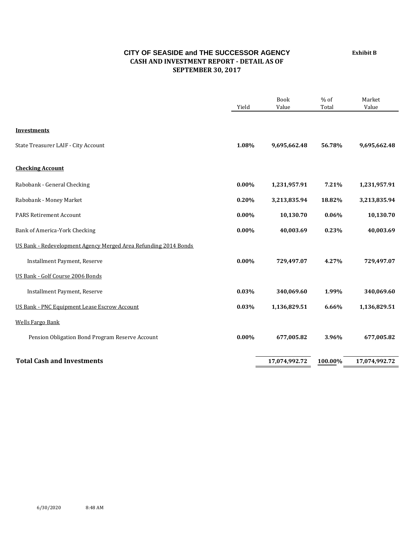## **CITY OF SEASIDE and THE SUCCESSOR AGENCY CASH AND INVESTMENT REPORT ‐ DETAIL AS OF SEPTEMBER 30, 2017**

Book % of Market Yield Value Total Value **Investments** State Treasurer LAIF - City Account **1.08% 1.08% 9,695,662.48 56.78% 9,695,662.48 Checking Account** Rabobank - General Checking **1,231,957.91 1,231,957.91 1,231,957.91 1,231,957.91 1,231,957.91** Rabobank - Money Market **0.20% 3,213,835.94 18.82% 3,213,835.94 18.82%** 3,213,835.94 **PARS Retirement Account 10.130.70 10,130.70 10,130.70 10,130.70 10,130.70** Bank of America-York Checking **0.00% 40,003.69 0.23% 40,003.69**  US Bank - Redevelopment Agency Merged Area Refunding 2014 Bonds **Installment Payment, Reserve 1.27% 8.28 and 1.27% 8.28 and 1.27% 8.27% 8.27% 8.27% 729,497.07** US Bank - Golf Course 2006 Bonds **Installment Payment, Reserve 1.99% 340,069.60 1.99% 340,069.60 1.99% 340,069.60** US Bank - PNC Equipment Lease Escrow Account **0.03%** 1,136,829.51 **6.66%** 1,136,829.51 Wells Fargo Bank Pension Obligation Bond Program Reserve Account **0.00%** 677,005.82 **8.96%** 677,005.82 **Total Cash and Investments 17,074,992.72 100.00% 17,074,992.72**

**Exhibit B**